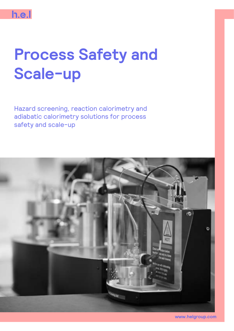

# **Process Safety and Scale-up**

Hazard screening, reaction calorimetry and adiabatic calorimetry solutions for process safety and scale-up



**www.helgroup.com**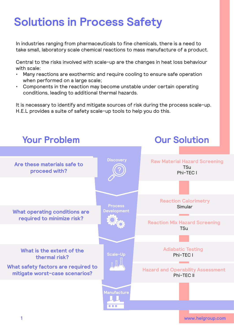## **Solutions in Process Safety**

In industries ranging from pharmaceuticals to fine chemicals, there is a need to take small, laboratory scale chemical reactions to mass manufacture of a product.

Central to the risks involved with scale-up are the changes in heat loss behaviour with scale:

- Many reactions are exothermic and require cooling to ensure safe operation when performed on a large scale;
- Components in the reaction may become unstable under certain operating conditions, leading to additional thermal hazards.

It is necessary to identify and mitigate sources of risk during the process scale-up. H.E.L provides a suite of safety scale-up tools to help you do this.

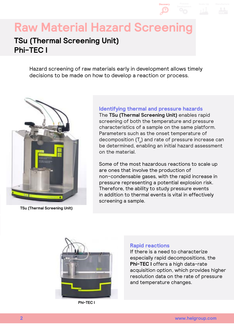## **Raw Material Hazard Screening**

### **TSu (Thermal Screening Unit) Phi-TEC I**

Hazard screening of raw materials early in development allows timely decisions to be made on how to develop a reaction or process.



**TSu (Thermal Screening Unit)**

#### **Identifying thermal and pressure hazards**

The **[TSu \(Thermal Screening Unit\)](https://helgroup.com/products/thermal-hazards-calorimetry/tsu-thermal-screening-unit-for-explosion-hazards-liquids-and-powders/?utm_source=Brochure&utm_medium=PDF_T&utm_campaign=PS_SU)** enables rapid screening of both the temperature and pressure characteristics of a sample on the same platform. Parameters such as the onset temperature of decomposition  $(T_a)$  and rate of pressure increase can be determined, enabling an initial hazard assessment on the material.

**Discovery Process** 

Some of the most hazardous reactions to scale up are ones that involve the production of non-condensable gases, with the rapid increase in pressure representing a potential explosion risk. Therefore, the ability to study pressure events in addition to thermal events is vital in effectively screening a sample.



**Phi-TEC I**

#### **Rapid reactions**

If there is a need to characterize especially rapid decompositions, the **[Phi-TEC I](https://helgroup.com/products/thermal-hazards-calorimetry/phi-tec-i-adiabatic-reaction-calorimeter/?utm_source=Brochure&utm_medium=PDF_T&utm_campaign=PS_SU)** offers a high data-rate acquisition option, which provides higher resolution data on the rate of pressure and temperature changes.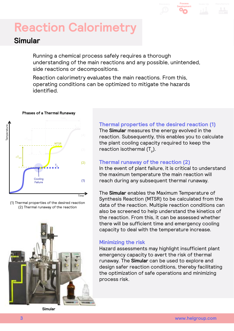# **Reaction Calorimetry**

**Simular** 

Running a chemical process safely requires a thorough understanding of the main reactions and any possible, unintended, side reactions or decompositions.

Reaction calorimetry evaluates the main reactions. From this, operating conditions can be optimized to mitigate the hazards identified.



(1) Thermal properties of the desired reaction (2) Thermal runaway of the reaction



**Simular**

#### **Thermal properties of the desired reaction (1)**

The **[Simular](https://helgroup.com/products/automated-lab-reactors/simular-heat-flow-reaction-calorimeter-with-online-result-display/?utm_source=Brochure&utm_medium=PDF_T&utm_campaign=PS_SU)** measures the energy evolved in the reaction. Subsequently, this enables you to calculate the plant cooling capacity required to keep the reaction isothermal  $(T_{n})$ .

**Discovery Process** 

**Development**

#### **Thermal runaway of the reaction (2)**

In the event of plant failure, it is critical to understand the maximum temperature the main reaction will reach during any subsequent thermal runaway.

The **[Simular](https://helgroup.com/products/automated-lab-reactors/simular-heat-flow-reaction-calorimeter-with-online-result-display/?utm_source=Brochure&utm_medium=PDF_T&utm_campaign=PS_SU)** enables the Maximum Temperature of Synthesis Reaction (MTSR) to be calculated from the data of the reaction. Multiple reaction conditions can also be screened to help understand the kinetics of the reaction. From this, it can be assessed whether there will be sufficient time and emergency cooling capacity to deal with the temperature increase.

#### **[M](https://helgroup.com/products/automated-lab-reactors/simular-heat-flow-reaction-calorimeter-with-online-result-display/?utm_source=Brochure&utm_medium=PDF_I&utm_campaign=PS_SU)inimizing the risk**

Hazard assessments may highlight insufficient plant emergency capacity to avert the risk of thermal runaway. The **[Simular](https://helgroup.com/products/automated-lab-reactors/simular-heat-flow-reaction-calorimeter-with-online-result-display/?utm_source=Brochure&utm_medium=PDF_T&utm_campaign=PS_SU)** can be used to explore and design safer reaction conditions, thereby facilitating the optimization of safe operations and minimizing process risk.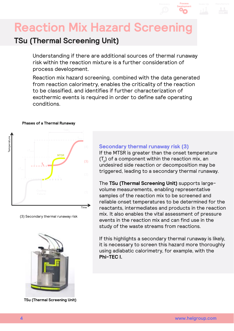## **Reaction Mix Hazard Screen**

### **TSu (Thermal Screening Unit)**

Understanding if there are additional sources of thermal runaway risk within the reaction mixture is a further consideration of process development.

Reaction mix hazard screening, combined with the data generated from reaction calorimetry, enables the criticality of the reaction to be classified, and identifies if further characterization of exothermic events is required in order to define safe operating conditions.



#### **Phases of a Thermal Runaway**

(3) Secondary thermal runaway risk



**[TSu \(Thermal Screening Unit\)](https://helgroup.com/products/thermal-hazards-calorimetry/tsu-thermal-screening-unit-for-explosion-hazards-liquids-and-powders/?utm_source=Brochure&utm_medium=PDF_I&utm_campaign=PS_SU)**

#### **Secondary thermal runaway risk (3)**

If the MTSR is greater than the onset temperature  $(T_a)$  of a component within the reaction mix, an undesired side reaction or decomposition may be triggered, leading to a secondary thermal runaway.

**Discovery Process** 

**Development**

The **[TSu \(Thermal Screening Unit\)](https://helgroup.com/products/thermal-hazards-calorimetry/tsu-thermal-screening-unit-for-explosion-hazards-liquids-and-powders/?utm_source=Brochure&utm_medium=PDF_T&utm_campaign=PS_SU)** supports largevolume measurements, enabling representative samples of the reaction mix to be screened and reliable onset temperatures to be determined for the reactants, intermediates and products in the reaction mix. It also enables the vital assessment of pressure events in the reaction mix and can find use in the study of the waste streams from reactions.

If this highlights a secondary thermal runaway is likely, it is necessary to screen this hazard more thoroughly using adiabatic calorimetry, for example, with the **[Phi-TEC I.](https://helgroup.com/products/thermal-hazards-calorimetry/phi-tec-i-adiabatic-reaction-calorimeter/?utm_source=Brochure&utm_medium=PDF_T&utm_campaign=PS_SU)**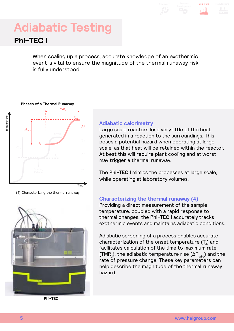# **Adiabatic Testing**

**Phi-TEC I**

When scaling up a process, accurate knowledge of an exothermic event is vital to ensure the magnitude of the thermal runaway risk is fully understood.



(4) Characterizing the thermal runaway



**Phi-TEC I**

#### **Adiabatic calorimetry**

Large scale reactors lose very little of the heat generated in a reaction to the surroundings. This poses a potential hazard when operating at large scale, as that heat will be retained within the reactor. At best this will require plant cooling and at worst may trigger a thermal runaway.

**Scale-Up Manufacture**

The **[Phi-TEC I](https://helgroup.com/products/thermal-hazards-calorimetry/phi-tec-i-adiabatic-reaction-calorimeter/?utm_source=Brochure&utm_medium=PDF_T&utm_campaign=PS_SU)** mimics the processes at large scale, while operating at laboratory volumes.

#### **Characterizing the thermal runaway (4)**

Providing a direct measurement of the sample temperature, coupled with a rapid response to thermal changes, the **[Phi-TEC I](https://helgroup.com/products/thermal-hazards-calorimetry/phi-tec-i-adiabatic-reaction-calorimeter/?utm_source=Brochure&utm_medium=PDF_T&utm_campaign=PS_SU)** accurately tracks exothermic events and maintains adiabatic conditions.

Adiabatic screening of a process enables accurate characterization of the onset temperature  $(T_a)$  and facilitates calculation of the time to maximum rate (TMR<sub>d</sub>), the adiabatic temperature rise ( $\Delta T_{\text{add}}$ ) and the rate of pressure change. These key parameters can help describe the magnitude of the thermal runaway hazard.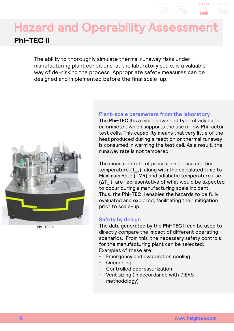## **Hazard and Operability Assessment Phi-TEC II**

The ability to thoroughly simulate thermal runaway risks under manufacturing plant conditions, at the laboratory scale, is a valuable way of de-risking the process. Appropriate safety measures can be designed and implemented before the final scale-up.



**Phi-TEC II**

#### **Plant-scale parameters from the laboratory**

The **[Phi-TEC II](https://helgroup.com/products/thermal-hazards-calorimetry/phi-tec-ii-adibatic-calorimeter-for-vent-sizing-and-accurate-thermal-runaway-testing/?utm_source=Brochure&utm_medium=PDF_T&utm_campaign=PS_SU)** is a more advanced type of adiabatic calorimeter, which supports the use of low Phi factor test cells. This capability means that very little of the heat produced during a reaction or thermal runaway is consumed in warming the test cell. As a result, the runaway rate is not tempered.

**Scale-Up Manufacture**

The measured rate of pressure increase and final temperature  $(T_{\text{end}})$ , along with the calculated Time to Maximum Rate (TMR) and adiabatic temperature rise  $(\Delta T_{ad})$ , are representative of what would be expected to occur during a manufacturing scale incident. Thus, the **[Phi-TEC II](https://helgroup.com/products/thermal-hazards-calorimetry/phi-tec-ii-adibatic-calorimeter-for-vent-sizing-and-accurate-thermal-runaway-testing/?utm_source=Brochure&utm_medium=PDF_T&utm_campaign=PS_SU)** enables the hazards to be fully evaluated and explored, facilitating their mitigation prior to scale-up.

#### **Safety by design**

The data generated by the **[Phi-TEC II](https://helgroup.com/products/thermal-hazards-calorimetry/phi-tec-ii-adibatic-calorimeter-for-vent-sizing-and-accurate-thermal-runaway-testing/?utm_source=Brochure&utm_medium=PDF_T&utm_campaign=PS_SU)** can be used to directly compare the impact of different operating scenarios. From this, the necessary safety controls for the manufacturing plant can be selected. Examples of these are:

- Emergency and evaporation cooling
- **Quenching**
- Controlled depressurization
- Vent sizing (in accordance with DIERS methodology)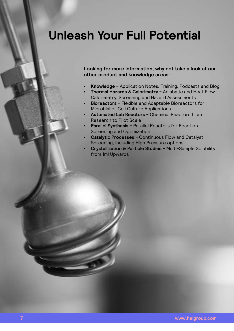## **Unleash Your Full Potential**

**Looking for more information, why not take a look at our other product and knowledge areas:**

- **• [Knowledge](https://helgroup.com/knowledge/?utm_source=Brochure&utm_medium=PDF_T&utm_campaign=PS_SU)** [Application Notes](https://helgroup.com/knowledge/application-notes/?utm_source=Brochure&utm_medium=PDF_T&utm_campaign=PS_SU), [Training](https://helgroup.com/knowledge/training/?utm_source=Brochure&utm_medium=PDF_T&utm_campaign=PS_SU), [Podcasts](https://helgroup.com/knowledge/podcasts/?utm_source=Brochure&utm_medium=PDF_T&utm_campaign=PS_SU) and [Blog](https://helgroup.com/blog?utm_source=Brochure&utm_medium=PDF_T&utm_campaign=PS_SU)
- **• [Thermal Hazards & Calorimetry](https://helgroup.com/products/thermal-hazards-calorimetry/?utm_source=Brochure&utm_medium=PDF_T&utm_campaign=PS_SU)** Adiabatic and Heat Flow Calorimetry, Screening and Hazard Assessments
- **• [Bioreactors](https://helgroup.com/products/bioreactors/?utm_source=Brochure&utm_medium=PDF_T&utm_campaign=PS_SU)** Flexible and Adaptable Bioreactors for Microbial or Cell Culture Applications
- **• [Automated Lab Reactors](https://helgroup.com/products/automated-lab-reactors/?utm_source=Brochure&utm_medium=PDF_T&utm_campaign=PS_SU)** Chemical Reactors from Research to Pilot Scale
- **• [Parallel Synthesis](https://helgroup.com/products/parallel-chemistry/?utm_source=Brochure&utm_medium=PDF_T&utm_campaign=PS_SU)** Parallel Reactors for Reaction Screening and Optimization
- **• [Catalytic Processes](https://helgroup.com/products/catalytic-processes/?utm_source=Brochure&utm_medium=PDF_T&utm_campaign=PS_SU)** Continuous Flow and Catalyst Screening, Including High Pressure options
- **• [Crystallization & Particle Studies -](https://helgroup.com/products/crystallisation-particle-studies/?utm_source=Brochure&utm_medium=PDF_T&utm_campaign=PS_SU)** Multi-Sample Solubility from 1ml Upwards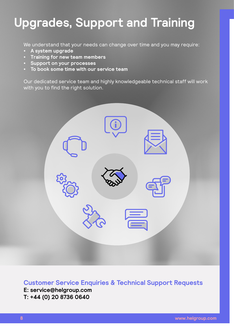## **Upgrades, Support and Training**

We understand that your needs can change over time and you may require:

- **• A system upgrade**
- **• Training for new team members**
- **• Support on your processes**
- **• To book some time with our service team**

Our dedicated service team and highly knowledgeable technical staff will work with you to find the right solution.



**Customer Service Enquiries & Technical Support Requests E: service@helgroup.com T: +44 (0) 20 8736 0640**